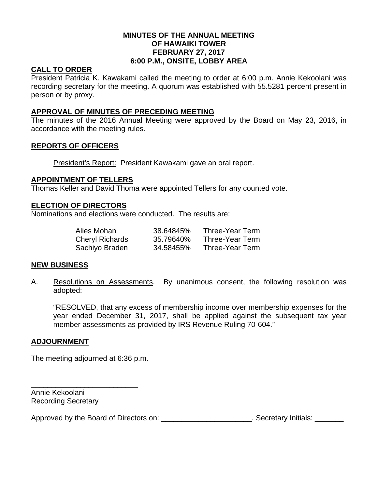## **MINUTES OF THE ANNUAL MEETING OF HAWAIKI TOWER FEBRUARY 27, 2017 6:00 P.M., ONSITE, LOBBY AREA**

## **CALL TO ORDER**

President Patricia K. Kawakami called the meeting to order at 6:00 p.m. Annie Kekoolani was recording secretary for the meeting. A quorum was established with 55.5281 percent present in person or by proxy.

## **APPROVAL OF MINUTES OF PRECEDING MEETING**

The minutes of the 2016 Annual Meeting were approved by the Board on May 23, 2016, in accordance with the meeting rules.

# **REPORTS OF OFFICERS**

President's Report: President Kawakami gave an oral report.

## **APPOINTMENT OF TELLERS**

Thomas Keller and David Thoma were appointed Tellers for any counted vote.

## **ELECTION OF DIRECTORS**

Nominations and elections were conducted. The results are:

| Alies Mohan            | 38.64845% | Three-Year Term |
|------------------------|-----------|-----------------|
| <b>Cheryl Richards</b> | 35.79640% | Three-Year Term |
| Sachiyo Braden         | 34.58455% | Three-Year Term |

#### **NEW BUSINESS**

A. Resolutions on Assessments. By unanimous consent, the following resolution was adopted:

"RESOLVED, that any excess of membership income over membership expenses for the year ended December 31, 2017, shall be applied against the subsequent tax year member assessments as provided by IRS Revenue Ruling 70-604."

## **ADJOURNMENT**

The meeting adjourned at 6:36 p.m.

\_\_\_\_\_\_\_\_\_\_\_\_\_\_\_\_\_\_\_\_\_\_\_\_\_\_

Annie Kekoolani Recording Secretary

Approved by the Board of Directors on: \_\_\_\_\_\_\_\_\_\_\_\_\_\_\_\_\_\_\_\_\_\_. Secretary Initials: \_\_\_\_\_\_